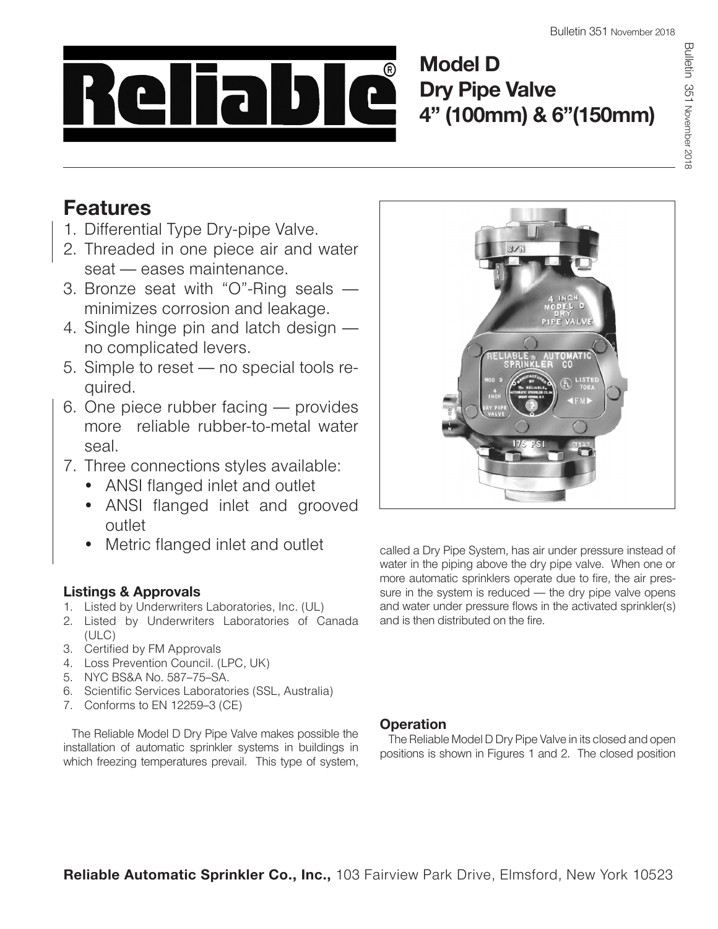

**Model D Dry Pipe Valve 4" (100mm) & 6"(150mm)**

# **Features**

- 1. Differential Type Dry-pipe Valve.
- 2. Threaded in one piece air and water seat — eases maintenance.
- 3. Bronze seat with "O"-Ring seals minimizes corrosion and leakage.
- 4. Single hinge pin and latch design no complicated levers.
- 5. Simple to reset no special tools required.
- 6. One piece rubber facing provides more reliable rubber-to-metal water seal.
- 7. Three connections styles available:
	- ANSI flanged inlet and outlet
	- ANSI flanged inlet and grooved outlet
	- Metric flanged inlet and outlet

# **Listings & Approvals**

- 1. Listed by Underwriters Laboratories, Inc. (UL)
- 2. Listed by Underwriters Laboratories of Canada (ULC)
- 3. Certified by FM Approvals
- 4. Loss Prevention Council. (LPC, UK)
- 5. NYC BS&A No. 587–75–SA.
- 6. Scientific Services Laboratories (SSL, Australia)
- 7. Conforms to EN 12259–3 (CE)

The Reliable Model D Dry Pipe Valve makes possible the installation of automatic sprinkler systems in buildings in which freezing temperatures prevail. This type of system,



called a Dry Pipe System, has air under pressure instead of water in the piping above the dry pipe valve. When one or more automatic sprinklers operate due to fire, the air pressure in the system is reduced — the dry pipe valve opens and water under pressure flows in the activated sprinkler(s) and is then distributed on the fire.

# **Operation**

The Reliable Model D Dry Pipe Valve in its closed and open positions is shown in Figures 1 and 2. The closed position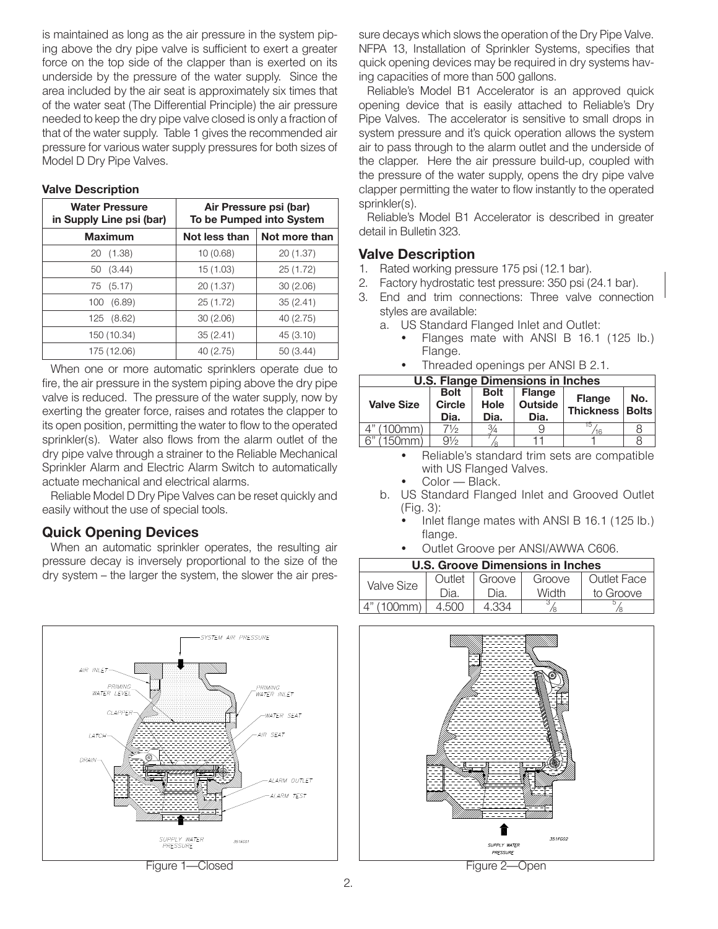is maintained as long as the air pressure in the system piping above the dry pipe valve is sufficient to exert a greater force on the top side of the clapper than is exerted on its underside by the pressure of the water supply. Since the area included by the air seat is approximately six times that of the water seat (The Differential Principle) the air pressure needed to keep the dry pipe valve closed is only a fraction of that of the water supply. Table 1 gives the recommended air pressure for various water supply pressures for both sizes of Model D Dry Pipe Valves.

### **Valve Description**

| <b>Water Pressure</b><br>in Supply Line psi (bar) | Air Pressure psi (bar)<br>To be Pumped into System |               |  |  |
|---------------------------------------------------|----------------------------------------------------|---------------|--|--|
| <b>Maximum</b>                                    | Not less than                                      | Not more than |  |  |
| 20 (1.38)                                         | 10(0.68)                                           | 20 (1.37)     |  |  |
| (3.44)<br>50                                      | 15(1.03)                                           | 25(1.72)      |  |  |
| 75 (5.17)                                         | 20 (1.37)                                          | 30(2.06)      |  |  |
| (6.89)<br>100                                     | 25 (1.72)                                          | 35(2.41)      |  |  |
| 125 (8.62)                                        | 30(2.06)                                           | 40 (2.75)     |  |  |
| 150 (10.34)                                       | 35(2.41)                                           | 45 (3.10)     |  |  |
| 175 (12.06)                                       | 40 (2.75)                                          | 50 (3.44)     |  |  |

When one or more automatic sprinklers operate due to fire, the air pressure in the system piping above the dry pipe valve is reduced. The pressure of the water supply, now by exerting the greater force, raises and rotates the clapper to its open position, permitting the water to flow to the operated sprinkler(s). Water also flows from the alarm outlet of the dry pipe valve through a strainer to the Reliable Mechanical Sprinkler Alarm and Electric Alarm Switch to automatically actuate mechanical and electrical alarms.

Reliable Model D Dry Pipe Valves can be reset quickly and easily without the use of special tools.

### **Quick Opening Devices**

When an automatic sprinkler operates, the resulting air pressure decay is inversely proportional to the size of the dry system – the larger the system, the slower the air pres-



Figure 1—Closed

sure decays which slows the operation of the Dry Pipe Valve. NFPA 13, Installation of Sprinkler Systems, specifies that quick opening devices may be required in dry systems having capacities of more than 500 gallons.

Reliable's Model B1 Accelerator is an approved quick opening device that is easily attached to Reliable's Dry Pipe Valves. The accelerator is sensitive to small drops in system pressure and it's quick operation allows the system air to pass through to the alarm outlet and the underside of the clapper. Here the air pressure build-up, coupled with the pressure of the water supply, opens the dry pipe valve clapper permitting the water to flow instantly to the operated sprinkler(s).

Reliable's Model B1 Accelerator is described in greater detail in Bulletin 323.

### **Valve Description**

- 1. Rated working pressure 175 psi (12.1 bar).
- 2. Factory hydrostatic test pressure: 350 psi (24.1 bar).
- 3. End and trim connections: Three valve connection styles are available:
	- a. US Standard Flanged Inlet and Outlet:
		- Flanges mate with ANSI B 16.1 (125 lb.) Flange.
			- Threaded openings per ANSI B 2.1.

| <b>U.S. Flange Dimensions in Inches</b> |                                                                     |               |                                         |                                    |     |  |  |
|-----------------------------------------|---------------------------------------------------------------------|---------------|-----------------------------------------|------------------------------------|-----|--|--|
| <b>Valve Size</b>                       | <b>Bolt</b><br><b>Bolt</b><br><b>Circle</b><br>Hole<br>Dia.<br>Dia. |               | <b>Flange</b><br><b>Outside</b><br>Dia. | <b>Flange</b><br>Thickness   Bolts | No. |  |  |
| 4" (100mm)                              | 71/2                                                                | $\frac{3}{4}$ |                                         |                                    |     |  |  |
| 6"<br>(150mm)                           | $9\frac{1}{2}$                                                      |               |                                         |                                    |     |  |  |
|                                         |                                                                     |               |                                         |                                    |     |  |  |

- Reliable's standard trim sets are compatible with US Flanged Valves.
- Color Black.
- b. US Standard Flanged Inlet and Grooved Outlet (Fig. 3):
	- Inlet flange mates with ANSI B 16.1 (125 lb.) flange.
	- Outlet Groove per ANSI/AWWA C606.

| <b>U.S. Groove Dimensions in Inches</b> |                  |      |        |             |  |  |  |
|-----------------------------------------|------------------|------|--------|-------------|--|--|--|
| Valve Size                              | Outlet<br>Groove |      | Groove | Outlet Face |  |  |  |
|                                         | Dia.             | Dia. | Width  | to Groove   |  |  |  |
| $4"$ (100 mm)                           | 4.500            |      |        |             |  |  |  |

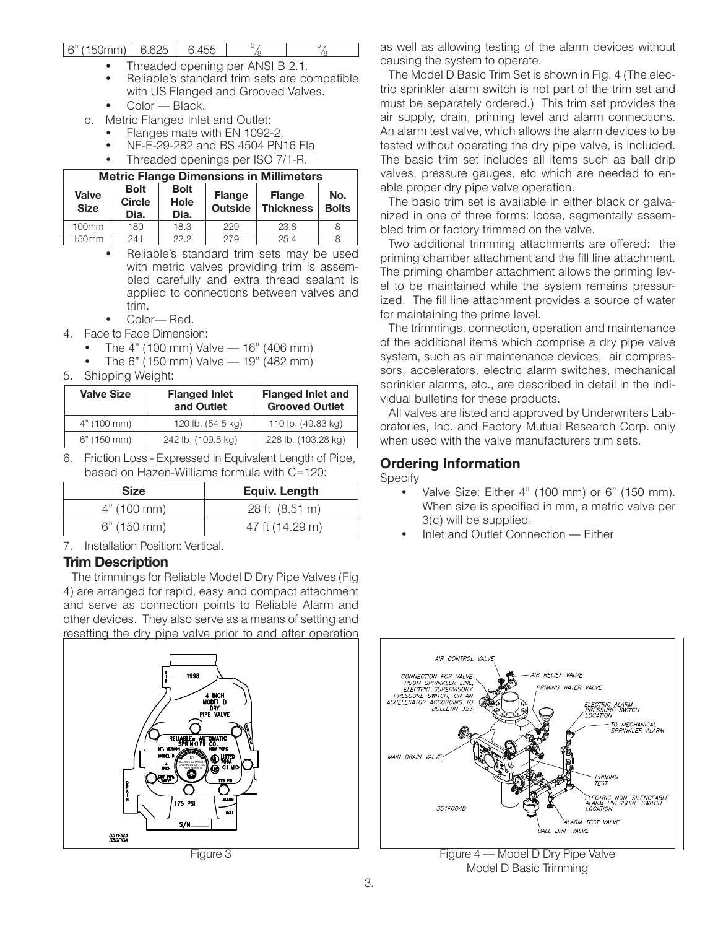#### $6"$  (150mm) 6.625 6.455  $/8$ 5  $/8$

- Threaded opening per ANSI B 2.1.
- Reliable's standard trim sets are compatible with US Flanged and Grooved Valves.
- Color Black.
- c. Metric Flanged Inlet and Outlet:
	- Flanges mate with EN 1092-2,
	- NF-E-29-282 and BS 4504 PN16 Fla
	- Threaded openings per ISO 7/1-R.

| <b>Metric Flange Dimensions in Millimeters</b> |                                                                            |      |                                 |                                   |                     |  |  |
|------------------------------------------------|----------------------------------------------------------------------------|------|---------------------------------|-----------------------------------|---------------------|--|--|
| Valve<br><b>Size</b>                           | <b>Bolt</b><br><b>Bolt</b><br><b>Circle</b><br><b>Hole</b><br>Dia.<br>Dia. |      | <b>Flange</b><br><b>Outside</b> | <b>Flange</b><br><b>Thickness</b> | No.<br><b>Bolts</b> |  |  |
| 100mm                                          | 180                                                                        | 18.3 | 229                             | 23.8                              |                     |  |  |
| 150mm                                          | 241                                                                        | 22.2 | 279                             | 25.4                              |                     |  |  |

- Reliable's standard trim sets may be used with metric valves providing trim is assembled carefully and extra thread sealant is applied to connections between valves and trim.
- Color— Red.
- 4. Face to Face Dimension:
	- The  $4"$  (100 mm) Valve  $-$  16" (406 mm)
	- The 6" (150 mm) Valve  $-$  19" (482 mm)
- 5. Shipping Weight:

| <b>Valve Size</b> | <b>Flanged Inlet</b><br>and Outlet | <b>Flanged Inlet and</b><br><b>Grooved Outlet</b> |  |
|-------------------|------------------------------------|---------------------------------------------------|--|
| 4" (100 mm)       | 120 lb. (54.5 kg)                  | 110 lb. (49.83 kg)                                |  |
| $6"$ (150 mm)     | 242 lb. (109.5 kg)                 | 228 lb. (103.28 kg)                               |  |

6. Friction Loss - Expressed in Equivalent Length of Pipe, based on Hazen-Williams formula with C=120:

| <b>Size</b>   | <b>Equiv. Length</b> |  |  |  |
|---------------|----------------------|--|--|--|
| 4" (100 mm)   | 28 ft (8.51 m)       |  |  |  |
| $6"$ (150 mm) | 47 ft (14.29 m)      |  |  |  |

7. Installation Position: Vertical.

### **Trim Description**

The trimmings for Reliable Model D Dry Pipe Valves (Fig 4) are arranged for rapid, easy and compact attachment and serve as connection points to Reliable Alarm and other devices. They also serve as a means of setting and resetting the dry pipe valve prior to and after operation



as well as allowing testing of the alarm devices without causing the system to operate.

The Model D Basic Trim Set is shown in Fig. 4 (The electric sprinkler alarm switch is not part of the trim set and must be separately ordered.) This trim set provides the air supply, drain, priming level and alarm connections. An alarm test valve, which allows the alarm devices to be tested without operating the dry pipe valve, is included. The basic trim set includes all items such as ball drip valves, pressure gauges, etc which are needed to enable proper dry pipe valve operation.

The basic trim set is available in either black or galvanized in one of three forms: loose, segmentally assembled trim or factory trimmed on the valve.

Two additional trimming attachments are offered: the priming chamber attachment and the fill line attachment. The priming chamber attachment allows the priming level to be maintained while the system remains pressurized. The fill line attachment provides a source of water for maintaining the prime level.

The trimmings, connection, operation and maintenance of the additional items which comprise a dry pipe valve system, such as air maintenance devices, air compressors, accelerators, electric alarm switches, mechanical sprinkler alarms, etc., are described in detail in the individual bulletins for these products.

All valves are listed and approved by Underwriters Laboratories, Inc. and Factory Mutual Research Corp. only when used with the valve manufacturers trim sets.

### **Ordering Information**

Specify

- Valve Size: Either 4" (100 mm) or 6" (150 mm). When size is specified in mm, a metric valve per 3(c) will be supplied.
- Inlet and Outlet Connection Either



Model D Basic Trimming